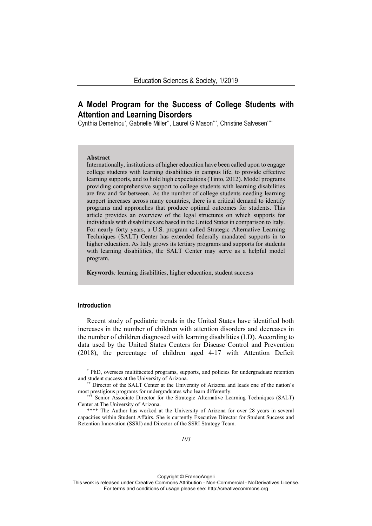# **A Model Program for the Success of College Students with Attention and Learning Disorders**

Cynthia Demetriou\*, Gabrielle Miller\*\*, Laurel G Mason\*\*\*, Christine Salvesen\*\*\*\*

#### **Abstract**

Internationally, institutions of higher education have been called upon to engage college students with learning disabilities in campus life, to provide effective learning supports, and to hold high expectations (Tinto, 2012). Model programs providing comprehensive support to college students with learning disabilities are few and far between. As the number of college students needing learning support increases across many countries, there is a critical demand to identify programs and approaches that produce optimal outcomes for students. This article provides an overview of the legal structures on which supports for individuals with disabilities are based in the United States in comparison to Italy. For nearly forty years, a U.S. program called Strategic Alternative Learning Techniques (SALT) Center has extended federally mandated supports in to higher education. As Italy grows its tertiary programs and supports for students with learning disabilities, the SALT Center may serve as a helpful model program.

**Keywords***:* learning disabilities, higher education, student success

# **Introduction**

Recent study of pediatric trends in the United States have identified both increases in the number of children with attention disorders and decreases in the number of children diagnosed with learning disabilities (LD). According to data used by the United States Centers for Disease Control and Prevention (2018), the percentage of children aged 4-17 with Attention Deficit

\* PhD, oversees multifaceted programs, supports, and policies for undergraduate retention

and student success at the University of Arizona. \*\* Director of the SALT Center at the University of Arizona and leads one of the nation's

Senior Associate Director for the Strategic Alternative Learning Techniques (SALT) Center at The University of Arizona.

\*\*\*\* The Author has worked at the University of Arizona for over 28 years in several capacities within Student Affairs. She is currently Executive Director for Student Success and Retention Innovation (SSRI) and Director of the SSRI Strategy Team.

Copyright © FrancoAngeli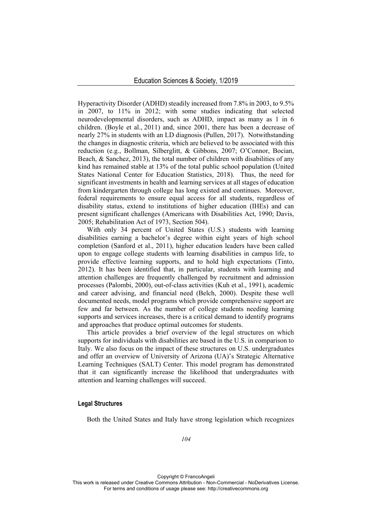Hyperactivity Disorder (ADHD) steadily increased from 7.8% in 2003, to 9.5% in 2007, to 11% in 2012; with some studies indicating that selected neurodevelopmental disorders, such as ADHD, impact as many as 1 in 6 children. (Boyle et al., 2011) and, since 2001, there has been a decrease of nearly 27% in students with an LD diagnosis (Pullen, 2017). Notwithstanding the changes in diagnostic criteria, which are believed to be associated with this reduction (e.g., Bollman, Silberglitt, & Gibbons, 2007; O'Connor, Bocian, Beach, & Sanchez, 2013), the total number of children with disabilities of any kind has remained stable at 13% of the total public school population (United States National Center for Education Statistics, 2018). Thus, the need for significant investments in health and learning services at all stages of education from kindergarten through college has long existed and continues. Moreover, federal requirements to ensure equal access for all students, regardless of disability status, extend to institutions of higher education (IHEs) and can present significant challenges (Americans with Disabilities Act, 1990; Davis, 2005; Rehabilitation Act of 1973, Section 504).

With only 34 percent of United States (U.S.) students with learning disabilities earning a bachelor's degree within eight years of high school completion (Sanford et al., 2011), higher education leaders have been called upon to engage college students with learning disabilities in campus life, to provide effective learning supports, and to hold high expectations (Tinto, 2012). It has been identified that, in particular, students with learning and attention challenges are frequently challenged by recruitment and admission processes (Palombi, 2000), out-of-class activities (Kuh et al., 1991), academic and career advising, and financial need (Belch, 2000). Despite these well documented needs, model programs which provide comprehensive support are few and far between. As the number of college students needing learning supports and services increases, there is a critical demand to identify programs and approaches that produce optimal outcomes for students.

This article provides a brief overview of the legal structures on which supports for individuals with disabilities are based in the U.S. in comparison to Italy. We also focus on the impact of these structures on U.S. undergraduates and offer an overview of University of Arizona (UA)'s Strategic Alternative Learning Techniques (SALT) Center. This model program has demonstrated that it can significantly increase the likelihood that undergraduates with attention and learning challenges will succeed.

## **Legal Structures**

Both the United States and Italy have strong legislation which recognizes

Copyright © FrancoAngeli This work is released under Creative Commons Attribution - Non-Commercial - NoDerivatives License. For terms and conditions of usage please see: http://creativecommons.org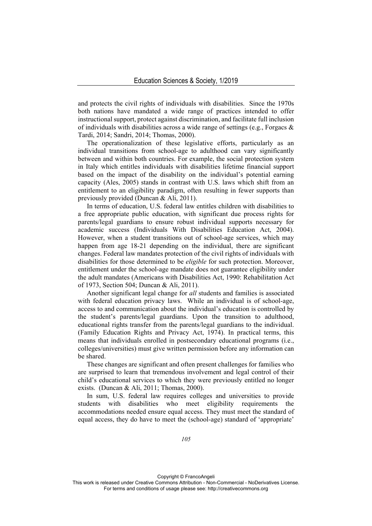and protects the civil rights of individuals with disabilities. Since the 1970s both nations have mandated a wide range of practices intended to offer instructional support, protect against discrimination, and facilitate full inclusion of individuals with disabilities across a wide range of settings (e.g., Forgacs  $\&$ Tardi, 2014; Sandri, 2014; Thomas, 2000).

The operationalization of these legislative efforts, particularly as an individual transitions from school-age to adulthood can vary significantly between and within both countries. For example, the social protection system in Italy which entitles individuals with disabilities lifetime financial support based on the impact of the disability on the individual's potential earning capacity (Ales, 2005) stands in contrast with U.S. laws which shift from an entitlement to an eligibility paradigm, often resulting in fewer supports than previously provided (Duncan & Ali, 2011).

In terms of education, U.S. federal law entitles children with disabilities to a free appropriate public education, with significant due process rights for parents/legal guardians to ensure robust individual supports necessary for academic success (Individuals With Disabilities Education Act, 2004). However, when a student transitions out of school-age services, which may happen from age 18-21 depending on the individual, there are significant changes. Federal law mandates protection of the civil rights of individuals with disabilities for those determined to be *eligible* for such protection. Moreover, entitlement under the school-age mandate does not guarantee eligibility under the adult mandates (Americans with Disabilities Act, 1990: Rehabilitation Act of 1973, Section 504; Duncan & Ali, 2011).

Another significant legal change for *all* students and families is associated with federal education privacy laws. While an individual is of school-age, access to and communication about the individual's education is controlled by the student's parents/legal guardians. Upon the transition to adulthood, educational rights transfer from the parents/legal guardians to the individual. (Family Education Rights and Privacy Act, 1974). In practical terms, this means that individuals enrolled in postsecondary educational programs (i.e., colleges/universities) must give written permission before any information can be shared.

These changes are significant and often present challenges for families who are surprised to learn that tremendous involvement and legal control of their child's educational services to which they were previously entitled no longer exists. (Duncan & Ali, 2011; Thomas, 2000).

In sum, U.S. federal law requires colleges and universities to provide students with disabilities who meet eligibility requirements the accommodations needed ensure equal access. They must meet the standard of equal access, they do have to meet the (school-age) standard of 'appropriate'

Copyright © FrancoAngeli

This work is released under Creative Commons Attribution - Non-Commercial - NoDerivatives License. For terms and conditions of usage please see: http://creativecommons.org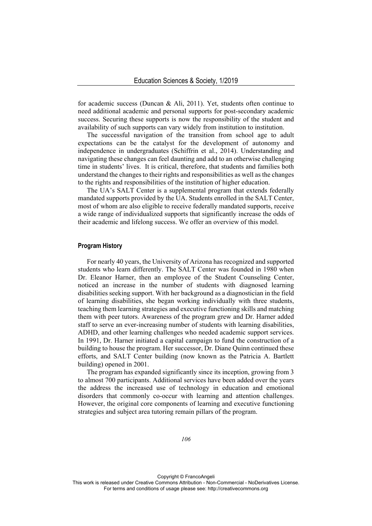for academic success (Duncan & Ali, 2011). Yet, students often continue to need additional academic and personal supports for post-secondary academic success. Securing these supports is now the responsibility of the student and availability of such supports can vary widely from institution to institution.

The successful navigation of the transition from school age to adult expectations can be the catalyst for the development of autonomy and independence in undergraduates (Schiffrin et al., 2014). Understanding and navigating these changes can feel daunting and add to an otherwise challenging time in students' lives. It is critical, therefore, that students and families both understand the changes to their rights and responsibilities as well as the changes to the rights and responsibilities of the institution of higher education.

The UA's SALT Center is a supplemental program that extends federally mandated supports provided by the UA. Students enrolled in the SALT Center, most of whom are also eligible to receive federally mandated supports, receive a wide range of individualized supports that significantly increase the odds of their academic and lifelong success. We offer an overview of this model.

#### **Program History**

For nearly 40 years, the University of Arizona has recognized and supported students who learn differently. The SALT Center was founded in 1980 when Dr. Eleanor Harner, then an employee of the Student Counseling Center, noticed an increase in the number of students with diagnosed learning disabilities seeking support. With her background as a diagnostician in the field of learning disabilities, she began working individually with three students, teaching them learning strategies and executive functioning skills and matching them with peer tutors. Awareness of the program grew and Dr. Harner added staff to serve an ever-increasing number of students with learning disabilities, ADHD, and other learning challenges who needed academic support services. In 1991, Dr. Harner initiated a capital campaign to fund the construction of a building to house the program. Her successor, Dr. Diane Quinn continued these efforts, and SALT Center building (now known as the Patricia A. Bartlett building) opened in 2001.

The program has expanded significantly since its inception, growing from 3 to almost 700 participants. Additional services have been added over the years the address the increased use of technology in education and emotional disorders that commonly co-occur with learning and attention challenges. However, the original core components of learning and executive functioning strategies and subject area tutoring remain pillars of the program.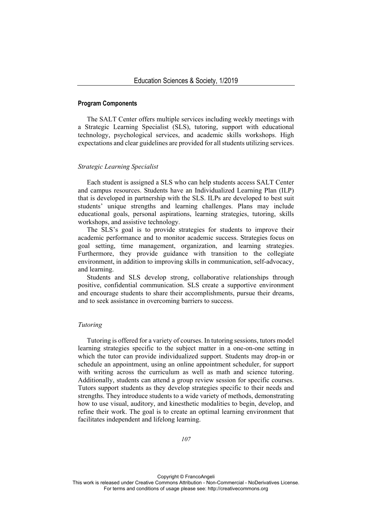#### **Program Components**

The SALT Center offers multiple services including weekly meetings with a Strategic Learning Specialist (SLS), tutoring, support with educational technology, psychological services, and academic skills workshops. High expectations and clear guidelines are provided for all students utilizing services.

## *Strategic Learning Specialist*

Each student is assigned a SLS who can help students access SALT Center and campus resources. Students have an Individualized Learning Plan (ILP) that is developed in partnership with the SLS. ILPs are developed to best suit students' unique strengths and learning challenges. Plans may include educational goals, personal aspirations, learning strategies, tutoring, skills workshops, and assistive technology.

The SLS's goal is to provide strategies for students to improve their academic performance and to monitor academic success. Strategies focus on goal setting, time management, organization, and learning strategies. Furthermore, they provide guidance with transition to the collegiate environment, in addition to improving skills in communication, self-advocacy, and learning.

Students and SLS develop strong, collaborative relationships through positive, confidential communication. SLS create a supportive environment and encourage students to share their accomplishments, pursue their dreams, and to seek assistance in overcoming barriers to success.

## *Tutoring*

Tutoring is offered for a variety of courses. In tutoring sessions, tutors model learning strategies specific to the subject matter in a one-on-one setting in which the tutor can provide individualized support. Students may drop-in or schedule an appointment, using an online appointment scheduler, for support with writing across the curriculum as well as math and science tutoring. Additionally, students can attend a group review session for specific courses. Tutors support students as they develop strategies specific to their needs and strengths. They introduce students to a wide variety of methods, demonstrating how to use visual, auditory, and kinesthetic modalities to begin, develop, and refine their work. The goal is to create an optimal learning environment that facilitates independent and lifelong learning.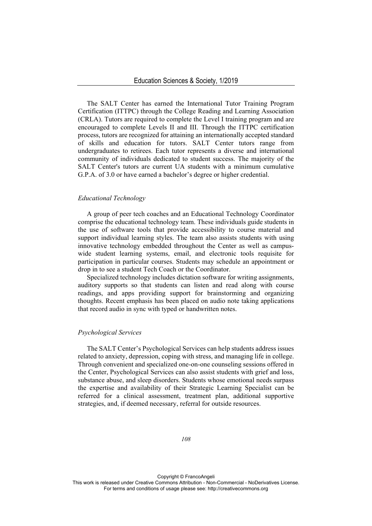The SALT Center has earned the International Tutor Training Program Certification (ITTPC) through the College Reading and Learning Association (CRLA). Tutors are required to complete the Level I training program and are encouraged to complete Levels II and III. Through the ITTPC certification process, tutors are recognized for attaining an internationally accepted standard of skills and education for tutors. SALT Center tutors range from undergraduates to retirees. Each tutor represents a diverse and international community of individuals dedicated to student success. The majority of the SALT Center's tutors are current UA students with a minimum cumulative G.P.A. of 3.0 or have earned a bachelor's degree or higher credential.

# *Educational Technology*

A group of peer tech coaches and an Educational Technology Coordinator comprise the educational technology team. These individuals guide students in the use of software tools that provide accessibility to course material and support individual learning styles. The team also assists students with using innovative technology embedded throughout the Center as well as campuswide student learning systems, email, and electronic tools requisite for participation in particular courses. Students may schedule an appointment or drop in to see a student Tech Coach or the Coordinator.

Specialized technology includes dictation software for writing assignments, auditory supports so that students can listen and read along with course readings, and apps providing support for brainstorming and organizing thoughts. Recent emphasis has been placed on audio note taking applications that record audio in sync with typed or handwritten notes.

## *Psychological Services*

The SALT Center's Psychological Services can help students address issues related to anxiety, depression, coping with stress, and managing life in college. Through convenient and specialized one-on-one counseling sessions offered in the Center, Psychological Services can also assist students with grief and loss, substance abuse, and sleep disorders. Students whose emotional needs surpass the expertise and availability of their Strategic Learning Specialist can be referred for a clinical assessment, treatment plan, additional supportive strategies, and, if deemed necessary, referral for outside resources.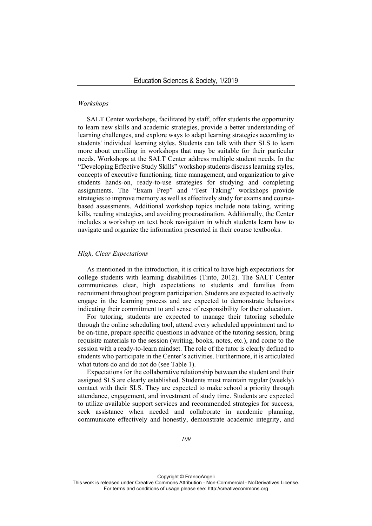# *Workshops*

SALT Center workshops, facilitated by staff, offer students the opportunity to learn new skills and academic strategies, provide a better understanding of learning challenges, and explore ways to adapt learning strategies according to students' individual learning styles. Students can talk with their SLS to learn more about enrolling in workshops that may be suitable for their particular needs. Workshops at the SALT Center address multiple student needs. In the "Developing Effective Study Skills" workshop students discuss learning styles, concepts of executive functioning, time management, and organization to give students hands-on, ready-to-use strategies for studying and completing assignments. The "Exam Prep" and "Test Taking" workshops provide strategies to improve memory as well as effectively study for exams and coursebased assessments. Additional workshop topics include note taking, writing kills, reading strategies, and avoiding procrastination. Additionally, the Center includes a workshop on text book navigation in which students learn how to navigate and organize the information presented in their course textbooks.

#### *High, Clear Expectations*

As mentioned in the introduction, it is critical to have high expectations for college students with learning disabilities (Tinto, 2012). The SALT Center communicates clear, high expectations to students and families from recruitment throughout program participation. Students are expected to actively engage in the learning process and are expected to demonstrate behaviors indicating their commitment to and sense of responsibility for their education.

For tutoring, students are expected to manage their tutoring schedule through the online scheduling tool, attend every scheduled appointment and to be on-time, prepare specific questions in advance of the tutoring session, bring requisite materials to the session (writing, books, notes, etc.), and come to the session with a ready-to-learn mindset. The role of the tutor is clearly defined to students who participate in the Center's activities. Furthermore, it is articulated what tutors do and do not do (see Table 1).

Expectations for the collaborative relationship between the student and their assigned SLS are clearly established. Students must maintain regular (weekly) contact with their SLS. They are expected to make school a priority through attendance, engagement, and investment of study time. Students are expected to utilize available support services and recommended strategies for success, seek assistance when needed and collaborate in academic planning, communicate effectively and honestly, demonstrate academic integrity, and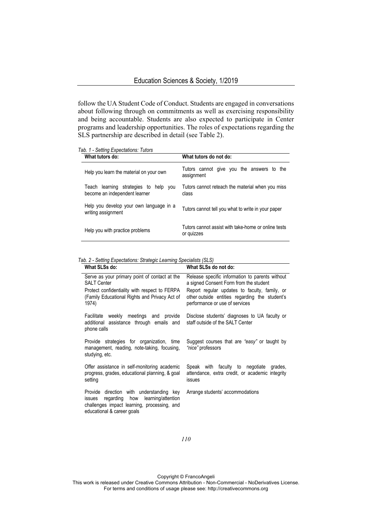follow the UA Student Code of Conduct. Students are engaged in conversations about following through on commitments as well as exercising responsibility and being accountable. Students are also expected to participate in Center programs and leadership opportunities. The roles of expectations regarding the SLS partnership are described in detail (see Table 2).

*Tab. 1 - Setting Expectations: Tutors*

| What tutors do:                                                        | What tutors do not do:                                            |  |  |  |
|------------------------------------------------------------------------|-------------------------------------------------------------------|--|--|--|
| Help you learn the material on your own                                | Tutors cannot give you the answers to the<br>assignment           |  |  |  |
| Teach learning strategies to help you<br>become an independent learner | Tutors cannot reteach the material when you miss<br>class         |  |  |  |
| Help you develop your own language in a<br>writing assignment          | Tutors cannot tell you what to write in your paper                |  |  |  |
| Help you with practice problems                                        | Tutors cannot assist with take-home or online tests<br>or quizzes |  |  |  |

*Tab. 2 - Setting Expectations: Strategic Learning Specialists (SLS)* 

| What SLSs do:                                                                                                                                                       | What SLSs do not do:                                                                                                                       |
|---------------------------------------------------------------------------------------------------------------------------------------------------------------------|--------------------------------------------------------------------------------------------------------------------------------------------|
| Serve as your primary point of contact at the<br><b>SALT Center</b><br>Protect confidentiality with respect to FERPA                                                | Release specific information to parents without<br>a signed Consent Form from the student<br>Report regular updates to faculty, family, or |
| (Family Educational Rights and Privacy Act of<br>1974)                                                                                                              | other outside entities regarding the student's<br>performance or use of services                                                           |
| Facilitate weekly meetings and provide<br>additional assistance through emails and<br>phone calls                                                                   | Disclose students' diagnoses to UA faculty or<br>staff outside of the SALT Center                                                          |
| Provide strategies for organization, time<br>management, reading, note-taking, focusing,<br>studying, etc.                                                          | Suggest courses that are "easy" or taught by<br>"nice" professors                                                                          |
| Offer assistance in self-monitoring academic<br>progress, grades, educational planning, & goal<br>setting                                                           | Speak with faculty to negotiate grades,<br>attendance, extra credit, or academic integrity<br>issues                                       |
| Provide direction with understanding key<br>regarding how learning/attention<br>issues<br>challenges impact learning, processing, and<br>educational & career goals | Arrange students' accommodations                                                                                                           |

Copyright © FrancoAngeli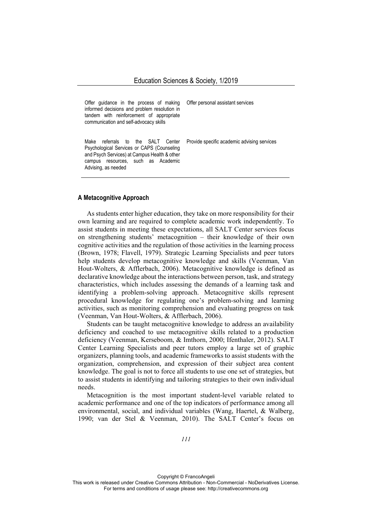| Offer guidance in the process of making<br>informed decisions and problem resolution in<br>tandem with reinforcement of appropriate<br>communication and self-advocacy skills                      | Offer personal assistant services           |
|----------------------------------------------------------------------------------------------------------------------------------------------------------------------------------------------------|---------------------------------------------|
| Make<br>referrals to the SALT Center<br>Psychological Services or CAPS (Counseling<br>and Psych Services) at Campus Health & other<br>resources, such as Academic<br>campus<br>Advising, as needed | Provide specific academic advising services |

#### **A Metacognitive Approach**

As students enter higher education, they take on more responsibility for their own learning and are required to complete academic work independently. To assist students in meeting these expectations, all SALT Center services focus on strengthening students' metacognition – their knowledge of their own cognitive activities and the regulation of those activities in the learning process (Brown, 1978; Flavell, 1979). Strategic Learning Specialists and peer tutors help students develop metacognitive knowledge and skills (Veenman, Van Hout-Wolters, & Afflerbach, 2006). Metacognitive knowledge is defined as declarative knowledge about the interactions between person, task, and strategy characteristics, which includes assessing the demands of a learning task and identifying a problem-solving approach. Metacognitive skills represent procedural knowledge for regulating one's problem-solving and learning activities, such as monitoring comprehension and evaluating progress on task (Veenman, Van Hout-Wolters, & Afflerbach, 2006).

Students can be taught metacognitive knowledge to address an availability deficiency and coached to use metacognitive skills related to a production deficiency (Veenman, Kerseboom, & Imthorn, 2000; Ifenthaler, 2012). SALT Center Learning Specialists and peer tutors employ a large set of graphic organizers, planning tools, and academic frameworks to assist students with the organization, comprehension, and expression of their subject area content knowledge. The goal is not to force all students to use one set of strategies, but to assist students in identifying and tailoring strategies to their own individual needs.

Metacognition is the most important student-level variable related to academic performance and one of the top indicators of performance among all environmental, social, and individual variables (Wang, Haertel, & Walberg, 1990; van der Stel & Veenman, 2010). The SALT Center's focus on

Copyright © FrancoAngeli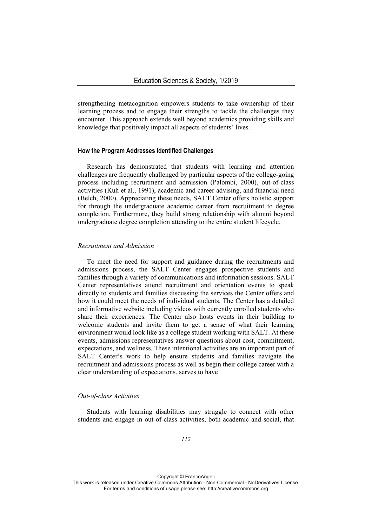strengthening metacognition empowers students to take ownership of their learning process and to engage their strengths to tackle the challenges they encounter. This approach extends well beyond academics providing skills and knowledge that positively impact all aspects of students' lives.

#### **How the Program Addresses Identified Challenges**

Research has demonstrated that students with learning and attention challenges are frequently challenged by particular aspects of the college-going process including recruitment and admission (Palombi, 2000), out-of-class activities (Kuh et al., 1991), academic and career advising, and financial need (Belch, 2000). Appreciating these needs, SALT Center offers holistic support for through the undergraduate academic career from recruitment to degree completion. Furthermore, they build strong relationship with alumni beyond undergraduate degree completion attending to the entire student lifecycle.

## *Recruitment and Admission*

To meet the need for support and guidance during the recruitments and admissions process, the SALT Center engages prospective students and families through a variety of communications and information sessions. SALT Center representatives attend recruitment and orientation events to speak directly to students and families discussing the services the Center offers and how it could meet the needs of individual students. The Center has a detailed and informative website including videos with currently enrolled students who share their experiences. The Center also hosts events in their building to welcome students and invite them to get a sense of what their learning environment would look like as a college student working with SALT. At these events, admissions representatives answer questions about cost, commitment, expectations, and wellness. These intentional activities are an important part of SALT Center's work to help ensure students and families navigate the recruitment and admissions process as well as begin their college career with a clear understanding of expectations. serves to have

#### *Out-of-class Activities*

Students with learning disabilities may struggle to connect with other students and engage in out-of-class activities, both academic and social, that

Copyright © FrancoAngeli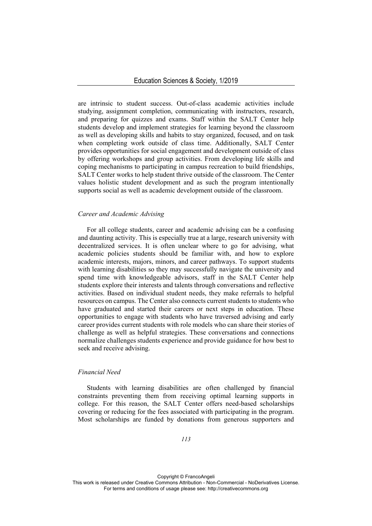are intrinsic to student success. Out-of-class academic activities include studying, assignment completion, communicating with instructors, research, and preparing for quizzes and exams. Staff within the SALT Center help students develop and implement strategies for learning beyond the classroom as well as developing skills and habits to stay organized, focused, and on task when completing work outside of class time. Additionally, SALT Center provides opportunities for social engagement and development outside of class by offering workshops and group activities. From developing life skills and coping mechanisms to participating in campus recreation to build friendships, SALT Center works to help student thrive outside of the classroom. The Center values holistic student development and as such the program intentionally supports social as well as academic development outside of the classroom.

#### *Career and Academic Advising*

For all college students, career and academic advising can be a confusing and daunting activity. This is especially true at a large, research university with decentralized services. It is often unclear where to go for advising, what academic policies students should be familiar with, and how to explore academic interests, majors, minors, and career pathways. To support students with learning disabilities so they may successfully navigate the university and spend time with knowledgeable advisors, staff in the SALT Center help students explore their interests and talents through conversations and reflective activities. Based on individual student needs, they make referrals to helpful resources on campus. The Center also connects current students to students who have graduated and started their careers or next steps in education. These opportunities to engage with students who have traversed advising and early career provides current students with role models who can share their stories of challenge as well as helpful strategies. These conversations and connections normalize challenges students experience and provide guidance for how best to seek and receive advising.

# *Financial Need*

Students with learning disabilities are often challenged by financial constraints preventing them from receiving optimal learning supports in college. For this reason, the SALT Center offers need-based scholarships covering or reducing for the fees associated with participating in the program. Most scholarships are funded by donations from generous supporters and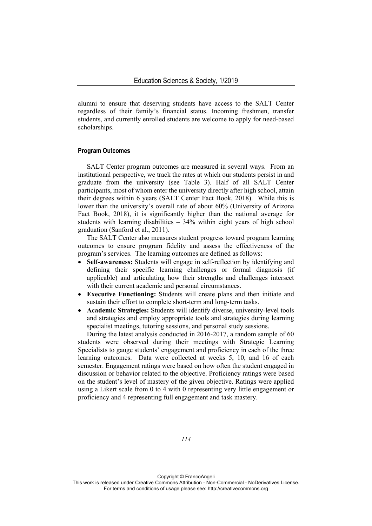alumni to ensure that deserving students have access to the SALT Center regardless of their family's financial status. Incoming freshmen, transfer students, and currently enrolled students are welcome to apply for need-based scholarships.

#### **Program Outcomes**

SALT Center program outcomes are measured in several ways. From an institutional perspective, we track the rates at which our students persist in and graduate from the university (see Table 3). Half of all SALT Center participants, most of whom enter the university directly after high school, attain their degrees within 6 years (SALT Center Fact Book, 2018). While this is lower than the university's overall rate of about 60% (University of Arizona Fact Book, 2018), it is significantly higher than the national average for students with learning disabilities – 34% within eight years of high school graduation (Sanford et al., 2011).

The SALT Center also measures student progress toward program learning outcomes to ensure program fidelity and assess the effectiveness of the program's services. The learning outcomes are defined as follows:

- **Self-awareness:** Students will engage in self-reflection by identifying and defining their specific learning challenges or formal diagnosis (if applicable) and articulating how their strengths and challenges intersect with their current academic and personal circumstances.
- **Executive Functioning:** Students will create plans and then initiate and sustain their effort to complete short-term and long-term tasks.
- **Academic Strategies:** Students will identify diverse, university-level tools and strategies and employ appropriate tools and strategies during learning specialist meetings, tutoring sessions, and personal study sessions.

During the latest analysis conducted in 2016-2017, a random sample of 60 students were observed during their meetings with Strategic Learning Specialists to gauge students' engagement and proficiency in each of the three learning outcomes. Data were collected at weeks 5, 10, and 16 of each semester. Engagement ratings were based on how often the student engaged in discussion or behavior related to the objective. Proficiency ratings were based on the student's level of mastery of the given objective. Ratings were applied using a Likert scale from 0 to 4 with 0 representing very little engagement or proficiency and 4 representing full engagement and task mastery.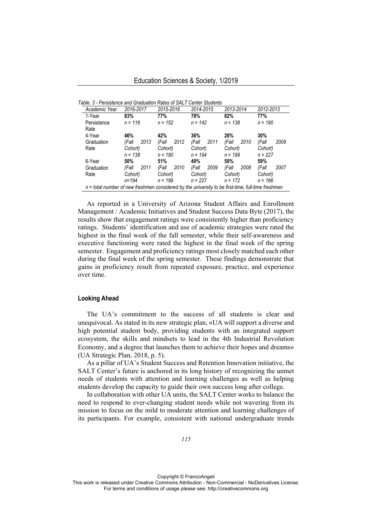| Academic Year                                                                                        | 2016-2017     | 2015-2016     | 2014-2015     | 2013-2014     | 2012-2013     |  |
|------------------------------------------------------------------------------------------------------|---------------|---------------|---------------|---------------|---------------|--|
| 1-Year                                                                                               | 83%           | 77%           | 78%           | 82%           | 77%           |  |
| Persistence                                                                                          | $n = 116$     | $n = 152$     | $n = 142$     | $n = 138$     | $n = 190$     |  |
| Rate                                                                                                 |               |               |               |               |               |  |
| 4-Year                                                                                               | 46%           | 42%           | 36%           | 28%           | 30%           |  |
| Graduation                                                                                           | 2013<br>(Fall | 2012<br>(Fall | 2011<br>(Fall | 2010<br>(Fall | 2009<br>(Fall |  |
| Rate                                                                                                 | Cohort)       | Cohort)       | Cohort)       | Cohort)       | Cohort)       |  |
|                                                                                                      | $n = 138$     | $n = 190$     | $n = 194$     | $n = 199$     | $n = 227$     |  |
| 6-Year                                                                                               | 50%           | 51%           | 49%           | 50%           | 59%           |  |
| Graduation                                                                                           | 2011<br>(Fall | 2010<br>(Fall | 2009<br>(Fall | 2008<br>(Fall | 2007<br>(Fall |  |
| Rate                                                                                                 | Cohort)       | Cohort)       | Cohort)       | Cohort)       | Cohort)       |  |
|                                                                                                      | n=194         | $n = 199$     | $n = 227$     | $n = 172$     | $n = 166$     |  |
| $n =$ total number of new freshmen considered by the university to be first-time, full-time freshmen |               |               |               |               |               |  |

*Table. 3 - Persistence and Graduation Rates of SALT Center Students*

As reported in a University of Arizona Student Affairs and Enrollment Management / Academic Initiatives and Student Success Data Byte (2017), the results show that engagement ratings were consistently higher than proficiency ratings. Students' identification and use of academic strategies were rated the highest in the final week of the fall semester, while their self-awareness and executive functioning were rated the highest in the final week of the spring semester. Engagement and proficiency ratings most closely matched each other during the final week of the spring semester. These findings demonstrate that gains in proficiency result from repeated exposure, practice, and experience over time.

# **Looking Ahead**

The UA's commitment to the success of all students is clear and unequivocal. As stated in its new strategic plan, «UA will support a diverse and high potential student body, providing students with an integrated support ecosystem, the skills and mindsets to lead in the 4th Industrial Revolution Economy, and a degree that launches them to achieve their hopes and dreams» (UA Strategic Plan, 2018, p. 5).

As a pillar of UA's Student Success and Retention Innovation initiative, the SALT Center's future is anchored in its long history of recognizing the unmet needs of students with attention and learning challenges as well as helping students develop the capacity to guide their own success long after college.

In collaboration with other UA units, the SALT Center works to balance the need to respond to ever-changing student needs while not wavering from its mission to focus on the mild to moderate attention and learning challenges of its participants. For example, consistent with national undergraduate trends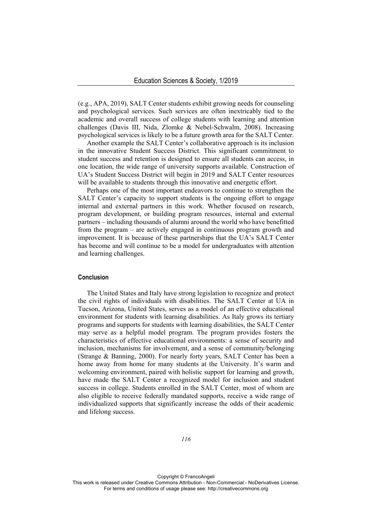(e.g., APA, 2019), SALT Center students exhibit growing needs for counseling and psychological services. Such services are often inextricably tied to the academic and overall success of college students with learning and attention challenges (Davis III, Nida, Zlomke & Nebel-Schwalm, 2008). Increasing psychological services is likely to be a future growth area for the SALT Center.

Another example the SALT Center's collaborative approach is its inclusion in the innovative Student Success District. This significant commitment to student success and retention is designed to ensure all students can access, in one location, the wide range of university supports available. Construction of UA's Student Success District will begin in 2019 and SALT Center resources will be available to students through this innovative and energetic effort.

Perhaps one of the most important endeavors to continue to strengthen the SALT Center's capacity to support students is the ongoing effort to engage internal and external partners in this work. Whether focused on research, program development, or building program resources, internal and external partners – including thousands of alumni around the world who have benefitted from the program – are actively engaged in continuous program growth and improvement. It is because of these partnerships that the UA's SALT Center has become and will continue to be a model for undergraduates with attention and learning challenges.

# **Conclusion**

The United States and Italy have strong legislation to recognize and protect the civil rights of individuals with disabilities. The SALT Center at UA in Tucson, Arizona, United States, serves as a model of an effective educational environment for students with learning disabilities. As Italy grows its tertiary programs and supports for students with learning disabilities, the SALT Center may serve as a helpful model program. The program provides fosters the characteristics of effective educational environments: a sense of security and inclusion, mechanisms for involvement, and a sense of community/belonging (Strange & Banning, 2000). For nearly forty years, SALT Center has been a home away from home for many students at the University. It's warm and welcoming environment, paired with holistic support for learning and growth, have made the SALT Center a recognized model for inclusion and student success in college. Students enrolled in the SALT Center, most of whom are also eligible to receive federally mandated supports, receive a wide range of individualized supports that significantly increase the odds of their academic and lifelong success.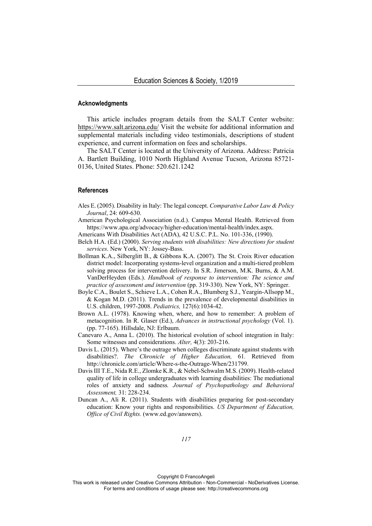#### **Acknowledgments**

This article includes program details from the SALT Center website: https://www.salt.arizona.edu/ Visit the website for additional information and supplemental materials including video testimonials, descriptions of student experience, and current information on fees and scholarships.

The SALT Center is located at the University of Arizona. Address: Patricia A. Bartlett Building, 1010 North Highland Avenue Tucson, Arizona 85721- 0136, United States. Phone: 520.621.1242

## **References**

- Ales E. (2005). Disability in Italy: The legal concept. *Comparative Labor Law & Policy Journal*, 24: 609-630.
- American Psychological Association (n.d.). Campus Mental Health. Retrieved from https://www.apa.org/advocacy/higher-education/mental-health/index.aspx.
- Americans With Disabilities Act (ADA), 42 U.S.C. P.L. No. 101-336, (1990).
- Belch H.A. (Ed.) (2000). *Serving students with disabilities: New directions for student services*. New York, NY: Jossey-Bass.
- Bollman K.A., Silberglitt B., & Gibbons K.A. (2007). The St. Croix River education district model: Incorporating systems-level organization and a multi-tiered problem solving process for intervention delivery. In S.R. Jimerson, M.K. Burns, & A.M. VanDerHeyden (Eds.). *Handbook of response to intervention: The science and practice of assessment and intervention* (pp. 319-330). New York, NY: Springer.
- Boyle C.A., Boulet S., Schieve L.A., Cohen R.A., Blumberg S.J., Yeargin-Allsopp M., & Kogan M.D. (2011). Trends in the prevalence of developmental disabilities in U.S. children, 1997-2008. *Pediatrics,* 127(6):1034-42.
- Brown A.L. (1978). Knowing when, where, and how to remember: A problem of metacognition. In R. Glaser (Ed.), *Advances in instructional psychology* (Vol. 1). (pp. 77-165). Hillsdale, NJ: Erlbaum.
- Canevaro A., Anna L. (2010). The historical evolution of school integration in Italy: Some witnesses and considerations. *Alter,* 4(3): 203-216.
- Davis L. (2015). Where's the outrage when colleges discriminate against students with disabilities?. *The Chronicle of Higher Education,* 61*.* Retrieved from http://chronicle.com/article/Where-s-the-Outrage-When/231799.
- Davis III T.E., Nida R.E., Zlomke K.R., & Nebel-Schwalm M.S. (2009). Health-related quality of life in college undergraduates with learning disabilities: The mediational roles of anxiety and sadness*. Journal of Psychopathology and Behavioral Assessment,* 31: 228-234.
- Duncan A., Ali R. (2011). Students with disabilities preparing for post-secondary education: Know your rights and responsibilities. *US Department of Education, Office of Civil Rights.* (www.ed.gov/answers).

Copyright © FrancoAngeli

This work is released under Creative Commons Attribution - Non-Commercial - NoDerivatives License. For terms and conditions of usage please see: http://creativecommons.org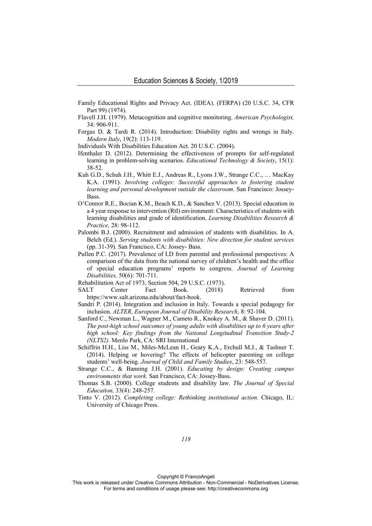- Family Educational Rights and Privacy Act. (IDEA). (FERPA) (20 U.S.C. 34, CFR Part 99) (1974).
- Flavell J.H. (1979). Metacognition and cognitive monitoring. *American Psychologist,*  34: 906-911.
- Forgas D. & Tardi R. (2014). Introduction: Disability rights and wrongs in Italy. *Modern Italy*, 19(2): 113-119.
- Individuals With Disabilities Education Act. 20 U.S.C. (2004).
- Ifenthaler D. (2012). Determining the effectiveness of prompts for self-regulated learning in problem-solving scenarios. *Educational Technology & Society*, 15(1): 38-52.
- Kuh G.D., Schuh J.H., Whitt E.J., Andreas R., Lyons J.W., Strange C.C., … MacKay K.A. (1991). *Involving colleges: Successful approaches to fostering student learning and personal development outside the classroom*. San Francisco: Jossey-Bass.
- O'Connor R.E., Bocian K.M., Beach K.D., & Sanchez V. (2013). Special education in a 4 year response to intervention (RtI) environment: Characteristics of students with learning disabilities and grade of identification. *Learning Disabilities Research & Practice,* 28: 98-112.
- Palombi B.J. (2000). Recruitment and admission of students with disabilities. In A. Belch (Ed.). *Serving students with disabilities: New direction for student services* (pp. 31-39)*.* San Francisco, CA: Jossey- Bass.
- Pullen P.C. (2017). Prevalence of LD from parental and professional perspectives: A comparison of the data from the national survey of children's health and the office of special education programs' reports to congress. *Journal of Learning Disabilities,* 50(6): 701-711.
- Rehabilitation Act of 1973, Section 504, 29 U.S.C. (1973).
- SALT Center Fact Book. (2018) Retrieved from https://www.salt.arizona.edu/about/fact-book.
- Sandri P. (2014). Integration and inclusion in Italy. Towards a special pedagogy for inclusion. *ALTER, European Journal of Disability Research*, 8: 92-104.
- Sanford C., Newman L., Wagner M., Cameto R., Knokey A. M., & Shaver D. (2011). *The post-high school outcomes of young adults with disabilities up to 6 years after high school: Key findings from the National Longitudinal Transition Study-2 (NLTS2)*. Menlo Park, CA: SRI International
- Schiffrin H.H., Liss M., Miles-McLean H., Geary K.A., Erchull M.J., & Tashner T. (2014). Helping or hovering? The effects of helicopter parenting on college students' well-being. *Journal of Child and Family Studies*, 23: 548-557.
- Strange C.C., & Banning J.H. (2001). *Educating by design: Creating campus environments that work.* San Francisco, CA: Jossey-Bass.
- Thomas S.B. (2000). College students and disability law. *The Journal of Special Education,* 33(4): 248-257.
- Tinto V. (2012). *Completing college: Rethinking institutional action*. Chicago, IL: University of Chicago Press.

Copyright © FrancoAngeli